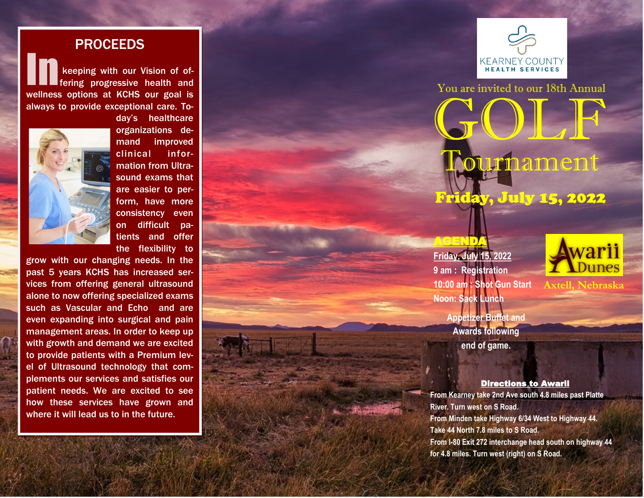## PROCEEDS

keeping with our Vision of offering progressive health and wellness options at KCHS our goal is always to provide exceptional care. To-



day's healthcare organizations demand improved clinical information from Ultrasound exams that are easier to perform, have more consistency even on difficult patients and offer the flexibility to

grow with our changing needs. In the past 5 years KCHS has increased services from offering general ultrasound alone to now offering specialized exams such as Vascular and Echo and are even expanding into surgical and pain management areas. In order to keep up with growth and demand we are excited to provide patients with a Premium level of Ultrasound technology that complements our services and satisfies our patient needs. We are excited to see how these services have grown and where it will lead us to in the future.



You are invited to our 18th Annual GOLF **Mournament** Friday, July 15, 2022

**Friday, July 15, 2022 9 am : Registration 10:00 am : Shot Gun Start Noon: Sack Lunch**

AGENDA





**Axtell, Nebraska**

Directions to Awarii

**From Kearney take 2nd Ave south 4.8 miles past Platte River. Turn west on S Road. From Minden take Highway 6/34 West to Highway 44. Take 44 North 7.8 miles to S Road. From I -80 Exit 272 interchange head south on highway 44 for 4.8 miles. Turn west (right) on S Road.**